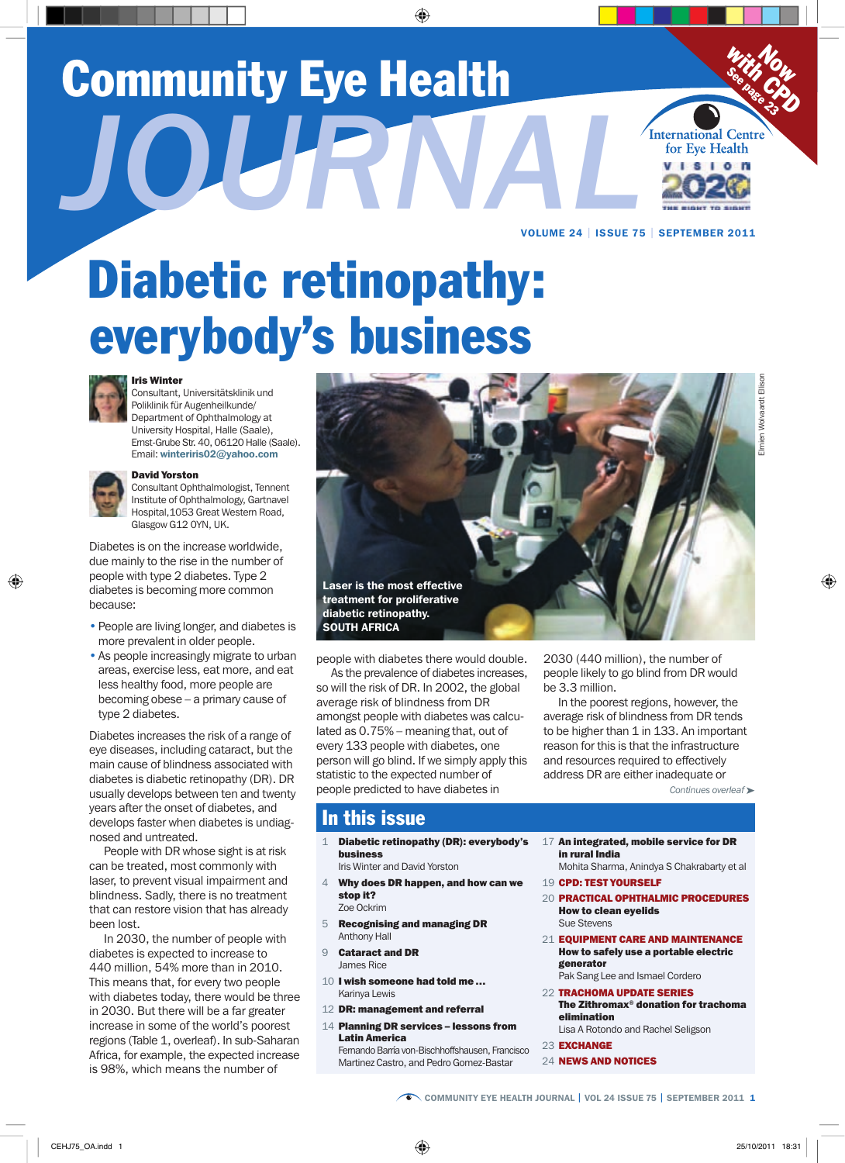# Community Eye Health *Journal*



VolumE 24 | iSSuE 75 | SEPtEmBEr 2011

# Diabetic retinopathy: everybody's business



#### Iris Winter

 $\overline{\phantom{a}}$  $X \rightarrow \infty$ 

Consultant, Universitätsklinik und Poliklinik für Augenheilkunde/ Department of Ophthalmology at University Hospital, Halle (Saale), Ernst-Grube Str. 40, 06120 Halle (Saale). Email: winteriris02@yahoo.com



#### David Yorston

Consultant Ophthalmologist, Tennent Institute of Ophthalmology, Gartnavel Hospital,1053 Great Western Road, Glasgow G12 0YN, UK.

Diabetes is on the increase worldwide, due mainly to the rise in the number of people with type 2 diabetes. Type 2 diabetes is becoming more common because:

- People are living longer, and diabetes is more prevalent in older people.
- As people increasingly migrate to urban areas, exercise less, eat more, and eat less healthy food, more people are becoming obese – a primary cause of type 2 diabetes.

Diabetes increases the risk of a range of eye diseases, including cataract, but the main cause of blindness associated with diabetes is diabetic retinopathy (DR). DR usually develops between ten and twenty years after the onset of diabetes, and develops faster when diabetes is undiagnosed and untreated.

People with DR whose sight is at risk can be treated, most commonly with laser, to prevent visual impairment and blindness. Sadly, there is no treatment that can restore vision that has already been lost.

In 2030, the number of people with diabetes is expected to increase to 440 million, 54% more than in 2010. This means that, for every two people with diabetes today, there would be three in 2030. But there will be a far greater increase in some of the world's poorest regions (Table 1, overleaf). In sub-Saharan Africa, for example, the expected increase is 98%, which means the number of



people with diabetes there would double.

As the prevalence of diabetes increases. so will the risk of DR. In 2002, the global average risk of blindness from DR amongst people with diabetes was calculated as 0.75% – meaning that, out of every 133 people with diabetes, one person will go blind. If we simply apply this statistic to the expected number of people predicted to have diabetes in

2030 (440 million), the number of people likely to go blind from DR would be 3.3 million.

In the poorest regions, however, the average risk of blindness from DR tends to be higher than 1 in 133. An important reason for this is that the infrastructure and resources required to effectively address DR are either inadequate or

*Continues overleaf* ➤

# In this issue

- 1 Diabetic retinopathy (DR): everybody's business Iris Winter and David Yorston
- 4 Why does DR happen, and how can we stop it? Zoe Ockrim
- 5 Recognising and managing DR Anthony Hall
- 9 **Cataract and DR** James Rice
- 10 I wish someone had told me... Karinya Lewis
- 12 DR: management and referral
- 14 Planning DR services lessons from Latin America

Fernando Barría von-Bischhoffshausen, Francisco Martinez Castro, and Pedro Gomez-Bastar

- 17 An integrated, mobile service for DR in rural India
	- Mohita Sharma, Anindya S Chakrabarty et al
- 19 CPD: TEST YOURSELF
- 20 **PRACTICAL OPHTHALMIC PROCEDURES** How to clean eyelids Sue Stevens
- 21 **EQUIPMENT CARE AND MAINTENANCE** How to safely use a portable electric generator
	- Pak Sang Lee and Ismael Cordero
- 22 TRACHOMA UPDATE SERIES The Zithromax<sup>®</sup> donation for trachoma elimination
- Lisa A Rotondo and Rachel Seligson 23 EXCHANGE
- 
- 24 **NEWS AND NOTICES**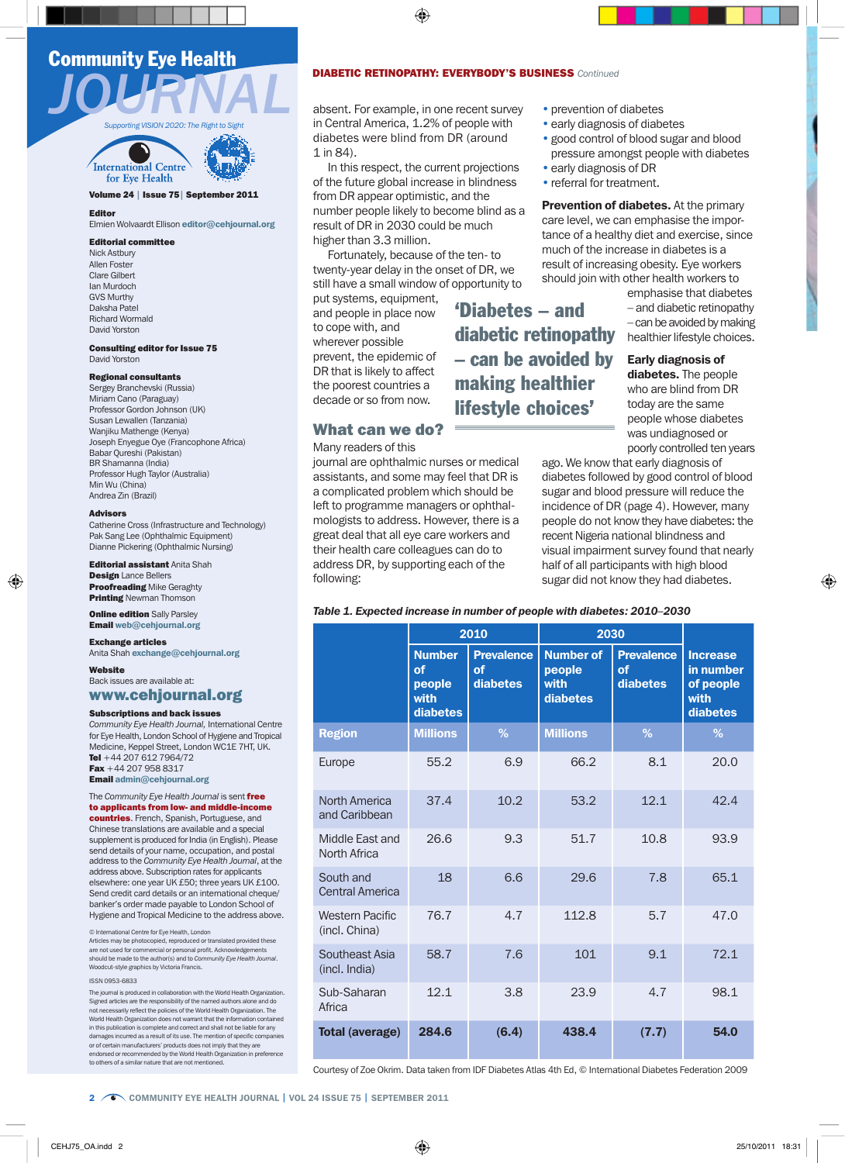# Community Eye Health





#### Volume 24 | Issue 75 | September 2011

Editor

#### Elmien Wolvaardt Ellison editor@cehjournal.org

#### Editorial committee

Nick Astbury Allen Foster Clare Gilbert Ian Murdoch GVS Murthy Daksha Patel Richard Wormald David Yorston

Consulting editor for Issue 75 David Yorston

#### Regional consultants

Sergey Branchevski (Russia) Miriam Cano (Paraguay) Professor Gordon Johnson (UK) Susan Lewallen (Tanzania) Wanjiku Mathenge (Kenya) Joseph Enyegue Oye (Francophone Africa) Babar Qureshi (Pakistan) BR Shamanna (India) Professor Hugh Taylor (Australia) Min Wu (China) Andrea Zin (Brazil)

#### Advisors

Catherine Cross (Infrastructure and Technology) Pak Sang Lee (Ophthalmic Equipment) Dianne Pickering (Ophthalmic Nursing)

**Editorial assistant Anita Shah** Design Lance Bellers **Proofreading Mike Geraghty Printing Newman Thomson** 

**Online edition** Sally Parsley Email web@cehjournal.org

**Exchange articles** 

Anita Shah exchange@cehjournal.org

Website Back issues are available at: www.cehjournal.org

#### Subscriptions and back issues

*Community Eye Health Journal,* International Centre for Eye Health, London School of Hygiene and Tropical Medicine, Keppel Street, London WC1E 7HT, UK. Tel +44 207 612 7964/72 Fax +44 207 958 8317

Email admin@cehjournal.org

The *Community Eye Health Journal* is sent free to applicants from low- and middle-income

countries. French, Spanish, Portuguese, and Chinese translations are available and a special supplement is produced for India (in English). Please send details of your name, occupation, and postal address to the *Community Eye Health Journal*, at the address above. Subscription rates for applicants elsewhere: one year UK £50; three years UK £100. Send credit card details or an international cheque/ banker's order made payable to London School of Hygiene and Tropical Medicine to the address above.

© International Centre for Eye Health, London

Articles may be photocopied, reproduced or translated provided these are not used for commercial or personal profit. Acknowledgements should be made to the author(s) and to *Community Eye Health Journal*. Woodcut-style graphics by Victoria Francis.

#### ISSN 0953-6833

The journal is produced in collaboration with the World Health Organiz Signed articles are the responsibility of the named authors alone and do not necessarily reflect the policies of the World Health Organization. The World Health Organization does not warrant that the information contained in this publication is complete and correct and shall not be liable for any nages incurred as a result of its use. The mention of specific compa or of certain manufacturers' products does not imply that they are endorsed or recommended by the World Health Organization in preference to others of a similar nature that are not mentioned.

#### **DIABETIC RETINOPATHY: EVERYBODY'S BUSINESS** *Continued*

in Central America, 1.2% of people with diabetes were blind from DR (around 1 in 84).

In this respect, the current projections of the future global increase in blindness from DR appear optimistic, and the number people likely to become blind as a result of DR in 2030 could be much higher than 3.3 million.

Fortunately, because of the ten- to twenty-year delay in the onset of DR, we still have a small window of opportunity to

put systems, equipment, and people in place now to cope with, and wherever possible prevent, the epidemic of DR that is likely to affect the poorest countries a decade or so from now.

#### What can we do?

Many readers of this

journal are ophthalmic nurses or medical assistants, and some may feel that DR is a complicated problem which should be left to programme managers or ophthalmologists to address. However, there is a great deal that all eye care workers and their health care colleagues can do to address DR, by supporting each of the following:

#### • prevention of diabetes

- early diagnosis of diabetes
- good control of blood sugar and blood pressure amongst people with diabetes
- early diagnosis of DR
- referral for treatment.

Prevention of diabetes. At the primary care level, we can emphasise the importance of a healthy diet and exercise, since much of the increase in diabetes is a result of increasing obesity. Eye workers should join with other health workers to

> emphasise that diabetes – and diabetic retinopathy – can be avoided by making healthier lifestyle choices.

Early diagnosis of diabetes. The people who are blind from DR today are the same people whose diabetes was undiagnosed or poorly controlled ten years

ago. We know that early diagnosis of diabetes followed by good control of blood sugar and blood pressure will reduce the incidence of DR (page 4). However, many people do not know they have diabetes: the recent Nigeria national blindness and visual impairment survey found that nearly half of all participants with high blood sugar did not know they had diabetes.

'Diabetes – and

making healthier lifestyle choices'

diabetic retinopathy – can be avoided by

|                                         | 2010                                              |                                            | 2030                                           |                                            |                                                               |
|-----------------------------------------|---------------------------------------------------|--------------------------------------------|------------------------------------------------|--------------------------------------------|---------------------------------------------------------------|
|                                         | <b>Number</b><br>of<br>people<br>with<br>diabetes | <b>Prevalence</b><br><b>of</b><br>diabetes | <b>Number of</b><br>people<br>with<br>diabetes | <b>Prevalence</b><br><b>of</b><br>diabetes | <b>Increase</b><br>in number<br>of people<br>with<br>diabetes |
| <b>Region</b>                           | <b>Millions</b>                                   | %                                          | <b>Millions</b>                                | $\frac{9}{6}$                              | $\%$                                                          |
| Europe                                  | 55.2                                              | 6.9                                        | 66.2                                           | 8.1                                        | 20.0                                                          |
| North America<br>and Caribbean          | 37.4                                              | 10.2                                       | 53.2                                           | 12.1                                       | 42.4                                                          |
| Middle East and<br>North Africa         | 26.6                                              | 9.3                                        | 51.7                                           | 10.8                                       | 93.9                                                          |
| South and<br><b>Central America</b>     | 18                                                | 6.6                                        | 29.6                                           | 7.8                                        | 65.1                                                          |
| <b>Western Pacific</b><br>(incl. China) | 76.7                                              | 4.7                                        | 112.8                                          | 5.7                                        | 47.0                                                          |
| Southeast Asia<br>(incl. India)         | 58.7                                              | 7.6                                        | 101                                            | 9.1                                        | 72.1                                                          |
| Sub-Saharan<br>Africa                   | 12.1                                              | 3.8                                        | 23.9                                           | 4.7                                        | 98.1                                                          |
| Total (average)                         | 284.6                                             | (6.4)                                      | 438.4                                          | (7.7)                                      | 54.0                                                          |

Courtesy of Zoe Okrim. Data taken from IDF Diabetes Atlas 4th Ed, © International Diabetes Federation 2009